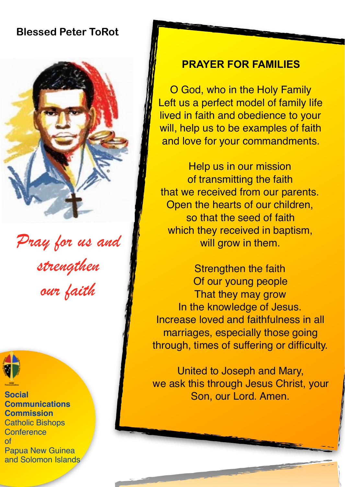# **Blessed Peter ToRot**



*Pray for us and strengthen our faith* 



**Social Communications Commission**  Catholic Bishops **Conference** of Papua New Guinea and Solomon Islands

### **PRAYER FOR FAMILIES**

O God, who in the Holy Family Left us a perfect model of family life lived in faith and obedience to your will, help us to be examples of faith and love for your commandments.

Help us in our mission of transmitting the faith that we received from our parents. Open the hearts of our children, so that the seed of faith which they received in baptism, will grow in them.

Strengthen the faith Of our young people That they may grow In the knowledge of Jesus. Increase loved and faithfulness in all marriages, especially those going through, times of suffering or difficulty.

United to Joseph and Mary, we ask this through Jesus Christ, your Son, our Lord. Amen.